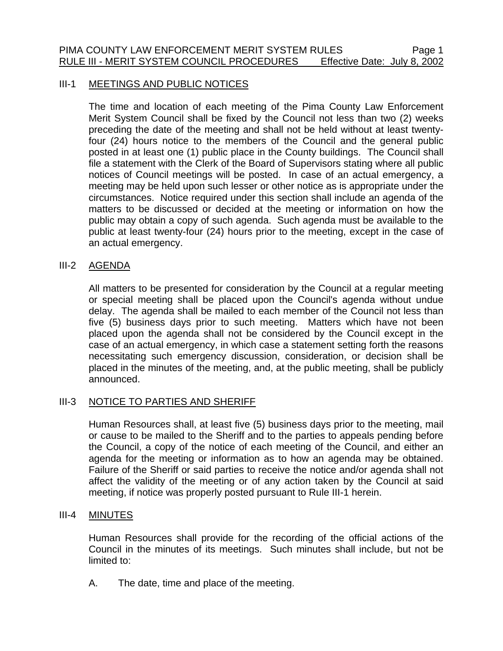## III-1 MEETINGS AND PUBLIC NOTICES

The time and location of each meeting of the Pima County Law Enforcement Merit System Council shall be fixed by the Council not less than two (2) weeks preceding the date of the meeting and shall not be held without at least twentyfour (24) hours notice to the members of the Council and the general public posted in at least one (1) public place in the County buildings. The Council shall file a statement with the Clerk of the Board of Supervisors stating where all public notices of Council meetings will be posted. In case of an actual emergency, a meeting may be held upon such lesser or other notice as is appropriate under the circumstances. Notice required under this section shall include an agenda of the matters to be discussed or decided at the meeting or information on how the public may obtain a copy of such agenda. Such agenda must be available to the public at least twenty-four (24) hours prior to the meeting, except in the case of an actual emergency.

## III-2 AGENDA

All matters to be presented for consideration by the Council at a regular meeting or special meeting shall be placed upon the Council's agenda without undue delay. The agenda shall be mailed to each member of the Council not less than five (5) business days prior to such meeting. Matters which have not been placed upon the agenda shall not be considered by the Council except in the case of an actual emergency, in which case a statement setting forth the reasons necessitating such emergency discussion, consideration, or decision shall be placed in the minutes of the meeting, and, at the public meeting, shall be publicly announced.

## III-3 NOTICE TO PARTIES AND SHERIFF

Human Resources shall, at least five (5) business days prior to the meeting, mail or cause to be mailed to the Sheriff and to the parties to appeals pending before the Council, a copy of the notice of each meeting of the Council, and either an agenda for the meeting or information as to how an agenda may be obtained. Failure of the Sheriff or said parties to receive the notice and/or agenda shall not affect the validity of the meeting or of any action taken by the Council at said meeting, if notice was properly posted pursuant to Rule III-1 herein.

## III-4 MINUTES

Human Resources shall provide for the recording of the official actions of the Council in the minutes of its meetings. Such minutes shall include, but not be limited to:

A. The date, time and place of the meeting.